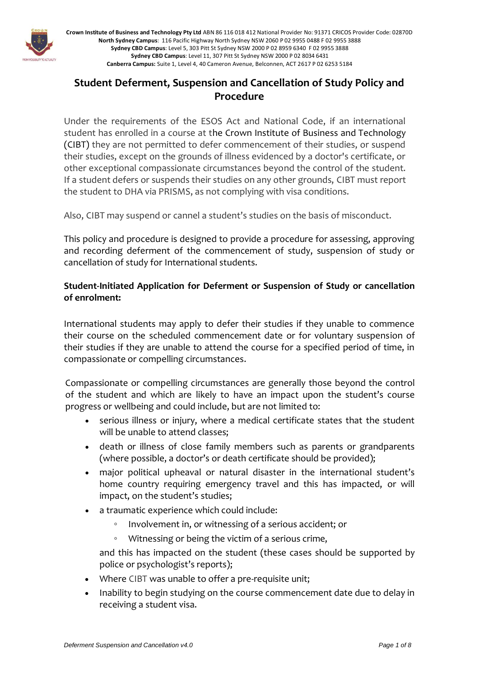

# **Student Deferment, Suspension and Cancellation of Study Policy and Procedure**

Under the requirements of the ESOS Act and National Code, if an international student has enrolled in a course at the Crown Institute of Business and Technology (CIBT) they are not permitted to defer commencement of their studies, or suspend their studies, except on the grounds of illness evidenced by a doctor's certificate, or other exceptional compassionate circumstances beyond the control of the student. If a student defers or suspends their studies on any other grounds, CIBT must report the student to DHA via PRISMS, as not complying with visa conditions.

Also, CIBT may suspend or cannel a student's studies on the basis of misconduct.

This policy and procedure is designed to provide a procedure for assessing, approving and recording deferment of the commencement of study, suspension of study or cancellation of study for International students.

## **Student-Initiated Application for Deferment or Suspension of Study or cancellation of enrolment:**

International students may apply to defer their studies if they unable to commence their course on the scheduled commencement date or for voluntary suspension of their studies if they are unable to attend the course for a specified period of time, in compassionate or compelling circumstances.

Compassionate or compelling circumstances are generally those beyond the control of the student and which are likely to have an impact upon the student's course progress or wellbeing and could include, but are not limited to:

- serious illness or injury, where a medical certificate states that the student will be unable to attend classes;
- death or illness of close family members such as parents or grandparents (where possible, a doctor's or death certificate should be provided);
- major political upheaval or natural disaster in the international student's home country requiring emergency travel and this has impacted, or will impact, on the student's studies;
- a traumatic experience which could include:
	- Involvement in, or witnessing of a serious accident; or
	- Witnessing or being the victim of a serious crime,

and this has impacted on the student (these cases should be supported by police or psychologist's reports);

- Where CIBT was unable to offer a pre-requisite unit;
- Inability to begin studying on the course commencement date due to delay in receiving a student visa.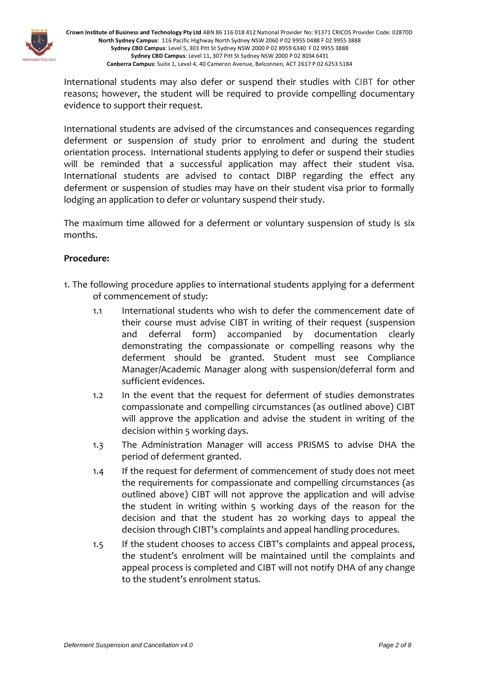

International students may also defer or suspend their studies with CIBT for other reasons; however, the student will be required to provide compelling documentary evidence to support their request.

International students are advised of the circumstances and consequences regarding deferment or suspension of study prior to enrolment and during the student orientation process. International students applying to defer or suspend their studies will be reminded that a successful application may affect their student visa. International students are advised to contact DIBP regarding the effect any deferment or suspension of studies may have on their student visa prior to formally lodging an application to defer or voluntary suspend their study.

The maximum time allowed for a deferment or voluntary suspension of study is six months.

### **Procedure:**

- 1. The following procedure applies to international students applying for a deferment of commencement of study:
	- 1.1 International students who wish to defer the commencement date of their course must advise CIBT in writing of their request (suspension and deferral form) accompanied by documentation clearly demonstrating the compassionate or compelling reasons why the deferment should be granted. Student must see Compliance Manager/Academic Manager along with suspension/deferral form and sufficient evidences.
	- 1.2 In the event that the request for deferment of studies demonstrates compassionate and compelling circumstances (as outlined above) CIBT will approve the application and advise the student in writing of the decision within 5 working days.
	- 1.3 The Administration Manager will access PRISMS to advise DHA the period of deferment granted.
	- 1.4 If the request for deferment of commencement of study does not meet the requirements for compassionate and compelling circumstances (as outlined above) CIBT will not approve the application and will advise the student in writing within 5 working days of the reason for the decision and that the student has 20 working days to appeal the decision through CIBT's complaints and appeal handling procedures.
	- 1.5 If the student chooses to access CIBT's complaints and appeal process, the student's enrolment will be maintained until the complaints and appeal process is completed and CIBT will not notify DHA of any change to the student's enrolment status.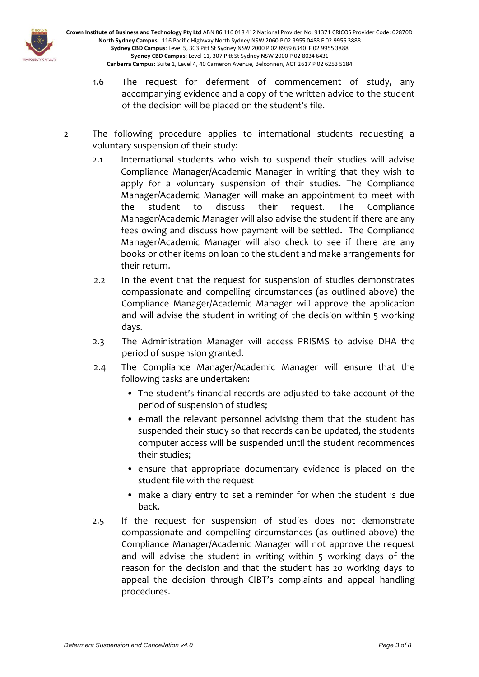

- 1.6 The request for deferment of commencement of study, any accompanying evidence and a copy of the written advice to the student of the decision will be placed on the student's file.
- 2 The following procedure applies to international students requesting a voluntary suspension of their study:
	- 2.1 International students who wish to suspend their studies will advise Compliance Manager/Academic Manager in writing that they wish to apply for a voluntary suspension of their studies. The Compliance Manager/Academic Manager will make an appointment to meet with the student to discuss their request. The Compliance Manager/Academic Manager will also advise the student if there are any fees owing and discuss how payment will be settled. The Compliance Manager/Academic Manager will also check to see if there are any books or other items on loan to the student and make arrangements for their return.
	- 2.2 In the event that the request for suspension of studies demonstrates compassionate and compelling circumstances (as outlined above) the Compliance Manager/Academic Manager will approve the application and will advise the student in writing of the decision within 5 working days.
	- 2.3 The Administration Manager will access PRISMS to advise DHA the period of suspension granted.
	- 2.4 The Compliance Manager/Academic Manager will ensure that the following tasks are undertaken:
		- The student's financial records are adjusted to take account of the period of suspension of studies;
		- e-mail the relevant personnel advising them that the student has suspended their study so that records can be updated, the students computer access will be suspended until the student recommences their studies;
		- ensure that appropriate documentary evidence is placed on the student file with the request
		- make a diary entry to set a reminder for when the student is due back.
	- 2.5 If the request for suspension of studies does not demonstrate compassionate and compelling circumstances (as outlined above) the Compliance Manager/Academic Manager will not approve the request and will advise the student in writing within 5 working days of the reason for the decision and that the student has 20 working days to appeal the decision through CIBT's complaints and appeal handling procedures.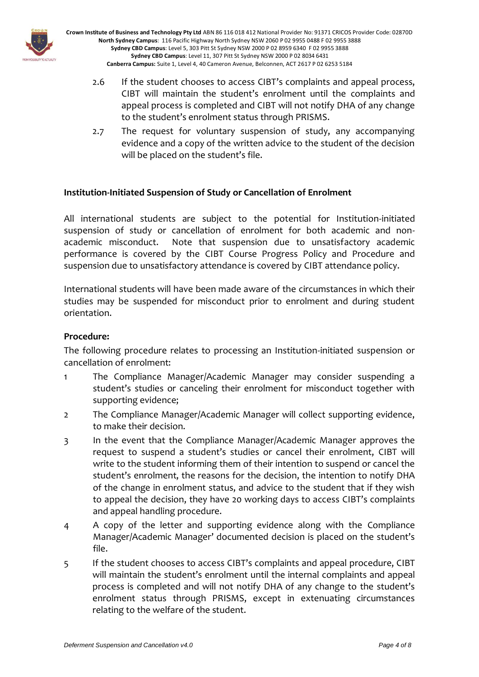

- 2.6 If the student chooses to access CIBT's complaints and appeal process, CIBT will maintain the student's enrolment until the complaints and appeal process is completed and CIBT will not notify DHA of any change to the student's enrolment status through PRISMS.
- 2.7 The request for voluntary suspension of study, any accompanying evidence and a copy of the written advice to the student of the decision will be placed on the student's file.

### **Institution-Initiated Suspension of Study or Cancellation of Enrolment**

All international students are subject to the potential for Institution-initiated suspension of study or cancellation of enrolment for both academic and nonacademic misconduct. Note that suspension due to unsatisfactory academic performance is covered by the CIBT Course Progress Policy and Procedure and suspension due to unsatisfactory attendance is covered by CIBT attendance policy.

International students will have been made aware of the circumstances in which their studies may be suspended for misconduct prior to enrolment and during student orientation.

#### **Procedure:**

The following procedure relates to processing an Institution-initiated suspension or cancellation of enrolment:

- 1 The Compliance Manager/Academic Manager may consider suspending a student's studies or canceling their enrolment for misconduct together with supporting evidence;
- 2 The Compliance Manager/Academic Manager will collect supporting evidence, to make their decision.
- 3 In the event that the Compliance Manager/Academic Manager approves the request to suspend a student's studies or cancel their enrolment, CIBT will write to the student informing them of their intention to suspend or cancel the student's enrolment, the reasons for the decision, the intention to notify DHA of the change in enrolment status, and advice to the student that if they wish to appeal the decision, they have 20 working days to access CIBT's complaints and appeal handling procedure.
- 4 A copy of the letter and supporting evidence along with the Compliance Manager/Academic Manager' documented decision is placed on the student's file.
- 5 If the student chooses to access CIBT's complaints and appeal procedure, CIBT will maintain the student's enrolment until the internal complaints and appeal process is completed and will not notify DHA of any change to the student's enrolment status through PRISMS, except in extenuating circumstances relating to the welfare of the student.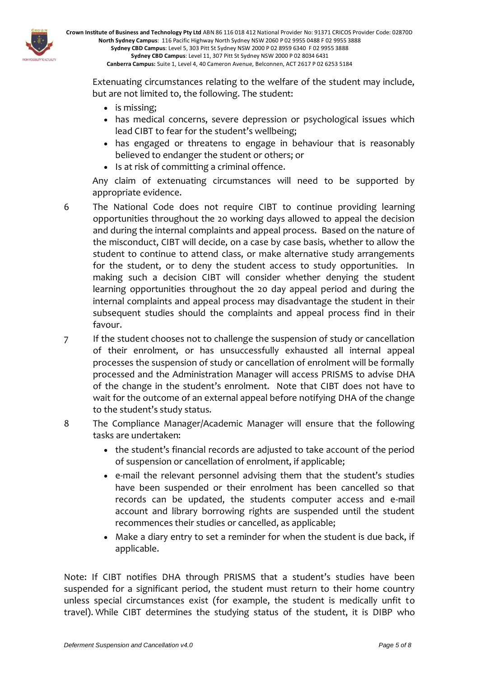

Extenuating circumstances relating to the welfare of the student may include, but are not limited to, the following. The student:

- is missing:
- has medical concerns, severe depression or psychological issues which lead CIBT to fear for the student's wellbeing;
- has engaged or threatens to engage in behaviour that is reasonably believed to endanger the student or others; or
- Is at risk of committing a criminal offence.

Any claim of extenuating circumstances will need to be supported by appropriate evidence.

- 6 The National Code does not require CIBT to continue providing learning opportunities throughout the 20 working days allowed to appeal the decision and during the internal complaints and appeal process. Based on the nature of the misconduct, CIBT will decide, on a case by case basis, whether to allow the student to continue to attend class, or make alternative study arrangements for the student, or to deny the student access to study opportunities. In making such a decision CIBT will consider whether denying the student learning opportunities throughout the 20 day appeal period and during the internal complaints and appeal process may disadvantage the student in their subsequent studies should the complaints and appeal process find in their favour.
- 7 If the student chooses not to challenge the suspension of study or cancellation of their enrolment, or has unsuccessfully exhausted all internal appeal processes the suspension of study or cancellation of enrolment will be formally processed and the Administration Manager will access PRISMS to advise DHA of the change in the student's enrolment. Note that CIBT does not have to wait for the outcome of an external appeal before notifying DHA of the change to the student's study status.
- 8 The Compliance Manager/Academic Manager will ensure that the following tasks are undertaken:
	- the student's financial records are adjusted to take account of the period of suspension or cancellation of enrolment, if applicable;
	- e-mail the relevant personnel advising them that the student's studies have been suspended or their enrolment has been cancelled so that records can be updated, the students computer access and e-mail account and library borrowing rights are suspended until the student recommences their studies or cancelled, as applicable;
	- Make a diary entry to set a reminder for when the student is due back, if applicable.

Note: If CIBT notifies DHA through PRISMS that a student's studies have been suspended for a significant period, the student must return to their home country unless special circumstances exist (for example, the student is medically unfit to travel). While CIBT determines the studying status of the student, it is DIBP who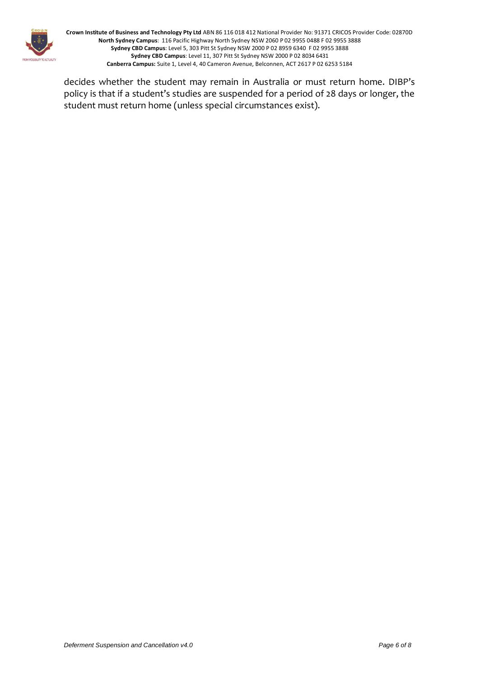

decides whether the student may remain in Australia or must return home. DIBP's policy is that if a student's studies are suspended for a period of 28 days or longer, the student must return home (unless special circumstances exist).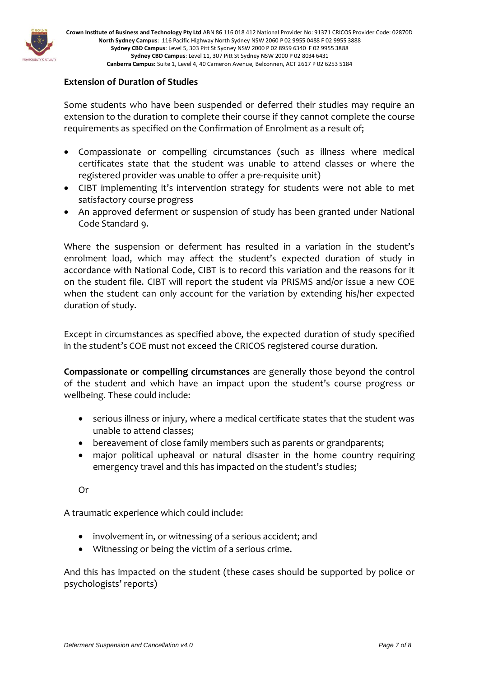

### **Extension of Duration of Studies**

Some students who have been suspended or deferred their studies may require an extension to the duration to complete their course if they cannot complete the course requirements as specified on the Confirmation of Enrolment as a result of;

- Compassionate or compelling circumstances (such as illness where medical certificates state that the student was unable to attend classes or where the registered provider was unable to offer a pre-requisite unit)
- CIBT implementing it's intervention strategy for students were not able to met satisfactory course progress
- An approved deferment or suspension of study has been granted under National Code Standard 9.

Where the suspension or deferment has resulted in a variation in the student's enrolment load, which may affect the student's expected duration of study in accordance with National Code, CIBT is to record this variation and the reasons for it on the student file. CIBT will report the student via PRISMS and/or issue a new COE when the student can only account for the variation by extending his/her expected duration of study.

Except in circumstances as specified above, the expected duration of study specified in the student's COE must not exceed the CRICOS registered course duration.

**Compassionate or compelling circumstances** are generally those beyond the control of the student and which have an impact upon the student's course progress or wellbeing. These could include:

- serious illness or injury, where a medical certificate states that the student was unable to attend classes;
- bereavement of close family members such as parents or grandparents;
- major political upheaval or natural disaster in the home country requiring emergency travel and this has impacted on the student's studies;

Or

A traumatic experience which could include:

- involvement in, or witnessing of a serious accident; and
- Witnessing or being the victim of a serious crime.

And this has impacted on the student (these cases should be supported by police or psychologists' reports)